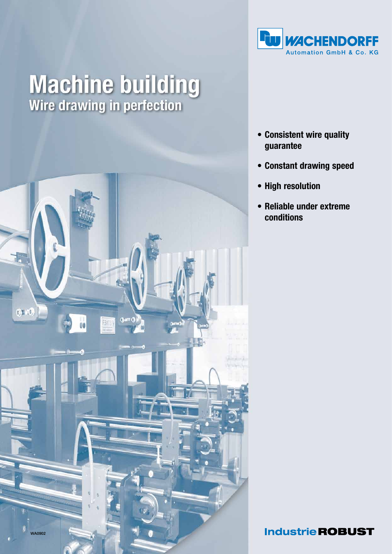

## **Machine building**<br>Wire drawing in perfection



- • Consistent wire quality guarantee
- • Constant drawing speed
- • High resolution
- • Reliable under extreme conditions

**Industrie ROBUST**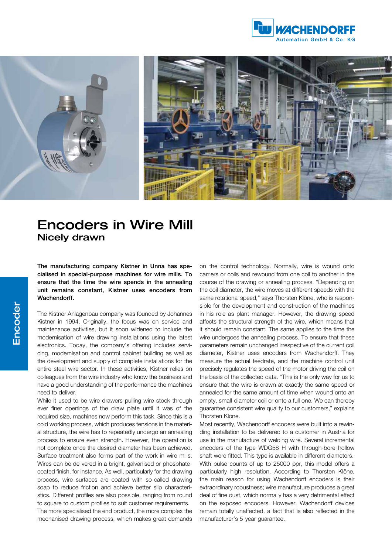



## Encoders in Wire Mill Nicely drawn

The manufacturing company Kistner in Unna has specialised in special-purpose machines for wire mills. To ensure that the time the wire spends in the annealing unit remains constant, Kistner uses encoders from Wachendorff.

The Kistner Anlagenbau company was founded by Johannes Kistner in 1994. Originally, the focus was on service and maintenance activities, but it soon widened to include the modernisation of wire drawing installations using the latest electronics. Today, the company's offering includes servicing, modernisation and control cabinet building as well as the development and supply of complete installations for the entire steel wire sector. In these activities, Kistner relies on colleagues from the wire industry who know the business and have a good understanding of the performance the machines need to deliver.

While it used to be wire drawers pulling wire stock through ever finer openings of the draw plate until it was of the required size, machines now perform this task. Since this is a cold working process, which produces tensions in the material structure, the wire has to repeatedly undergo an annealing process to ensure even strength. However, the operation is not complete once the desired diameter has been achieved. Surface treatment also forms part of the work in wire mills. Wires can be delivered in a bright, galvanised or phosphatecoated finish, for instance. As well, particularly for the drawing process, wire surfaces are coated with so-called drawing soap to reduce friction and achieve better slip characteristics. Different profiles are also possible, ranging from round to square to custom profiles to suit customer requirements.

The more specialised the end product, the more complex the mechanised drawing process, which makes great demands

on the control technology. Normally, wire is wound onto carriers or coils and rewound from one coil to another in the course of the drawing or annealing process. "Depending on the coil diameter, the wire moves at different speeds with the same rotational speed," says Thorsten Klöne, who is responsible for the development and construction of the machines in his role as plant manager. However, the drawing speed affects the structural strength of the wire, which means that it should remain constant. The same applies to the time the wire undergoes the annealing process. To ensure that these parameters remain unchanged irrespective of the current coil diameter, Kistner uses encoders from Wachendorff. They measure the actual feedrate, and the machine control unit precisely regulates the speed of the motor driving the coil on the basis of the collected data. "This is the only way for us to ensure that the wire is drawn at exactly the same speed or annealed for the same amount of time when wound onto an empty, small-diameter coil or onto a full one. We can thereby guarantee consistent wire quality to our customers," explains Thorsten Klöne.

Most recently, Wachendorff encoders were built into a rewinding installation to be delivered to a customer in Austria for use in the manufacture of welding wire. Several incremental encoders of the type WDG58 H with through-bore hollow shaft were fitted. This type is available in different diameters. With pulse counts of up to 25000 ppr, this model offers a particularly high resolution. According to Thorsten Klöne, the main reason for using Wachendorff encoders is their extraordinary robustness; wire manufacture produces a great deal of fine dust, which normally has a very detrimental effect on the exposed encoders. However, Wachendorff devices remain totally unaffected, a fact that is also reflected in the manufacturer's 5-year guarantee.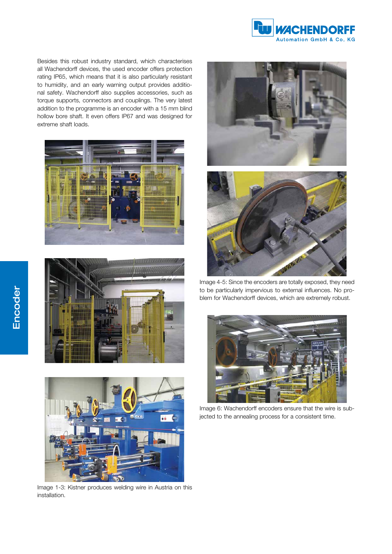

Besides this robust industry standard, which characterises all Wachendorff devices, the used encoder offers protection rating IP65, which means that it is also particularly resistant to humidity, and an early warning output provides additional safety. Wachendorff also supplies accessories, such as torque supports, connectors and couplings. The very latest addition to the programme is an encoder with a 15 mm blind hollow bore shaft. It even offers IP67 and was designed for extreme shaft loads.







Image 1-3: Kistner produces welding wire in Austria on this installation.



Image 4-5: Since the encoders are totally exposed, they need to be particularly impervious to external influences. No problem for Wachendorff devices, which are extremely robust.



Image 6: Wachendorff encoders ensure that the wire is subjected to the annealing process for a consistent time.